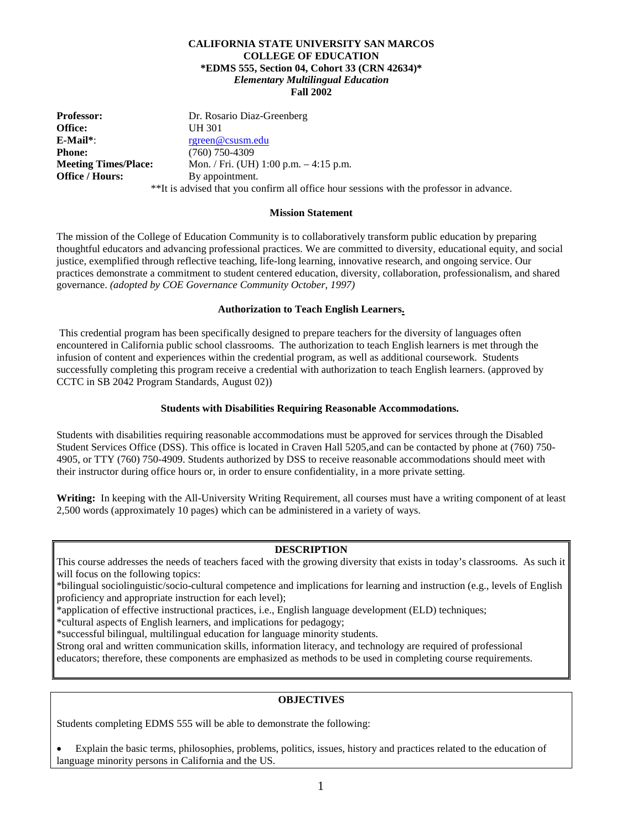#### **CALIFORNIA STATE UNIVERSITY SAN MARCOS COLLEGE OF EDUCATION \*EDMS 555, Section 04, Cohort 33 (CRN 42634)\*** *Elementary Multilingual Education* **Fall 2002**

**Professor: Dr. Rosario Diaz-Greenberg**<br> **Office: UH** 301 **Office:** UH 301 **E-Mail\***: [rgreen@csusm.edu](mailto:gmcfield@csusm.edu) **Phone:** (760) 750-4309<br> **Meeting Times/Place:** Mon. / Fri. (UH **Meeting Times/Place:** Mon. / Fri. (UH) 1:00 p.m. – 4:15 p.m. **Office / Hours:** By appointment. \*\*It is advised that you confirm all office hour sessions with the professor in advance.

#### **Mission Statement**

The mission of the College of Education Community is to collaboratively transform public education by preparing thoughtful educators and advancing professional practices. We are committed to diversity, educational equity, and social justice, exemplified through reflective teaching, life-long learning, innovative research, and ongoing service. Our practices demonstrate a commitment to student centered education, diversity, collaboration, professionalism, and shared governance. *(adopted by COE Governance Community October, 1997)*

#### **Authorization to Teach English Learners.**

This credential program has been specifically designed to prepare teachers for the diversity of languages often encountered in California public school classrooms. The authorization to teach English learners is met through the infusion of content and experiences within the credential program, as well as additional coursework. Students successfully completing this program receive a credential with authorization to teach English learners. (approved by CCTC in SB 2042 Program Standards, August 02))

#### **Students with Disabilities Requiring Reasonable Accommodations.**

Students with disabilities requiring reasonable accommodations must be approved for services through the Disabled Student Services Office (DSS). This office is located in Craven Hall 5205,and can be contacted by phone at (760) 750- 4905, or TTY (760) 750-4909. Students authorized by DSS to receive reasonable accommodations should meet with their instructor during office hours or, in order to ensure confidentiality, in a more private setting.

**Writing:** In keeping with the All-University Writing Requirement, all courses must have a writing component of at least 2,500 words (approximately 10 pages) which can be administered in a variety of ways.

#### **DESCRIPTION**

This course addresses the needs of teachers faced with the growing diversity that exists in today's classrooms. As such it will focus on the following topics:

\*bilingual sociolinguistic/socio-cultural competence and implications for learning and instruction (e.g., levels of English proficiency and appropriate instruction for each level);

\*application of effective instructional practices, i.e., English language development (ELD) techniques;

\*cultural aspects of English learners, and implications for pedagogy;

\*successful bilingual, multilingual education for language minority students.

Strong oral and written communication skills, information literacy, and technology are required of professional

educators; therefore, these components are emphasized as methods to be used in completing course requirements.

#### **OBJECTIVES**

Students completing EDMS 555 will be able to demonstrate the following:

• Explain the basic terms, philosophies, problems, politics, issues, history and practices related to the education of language minority persons in California and the US.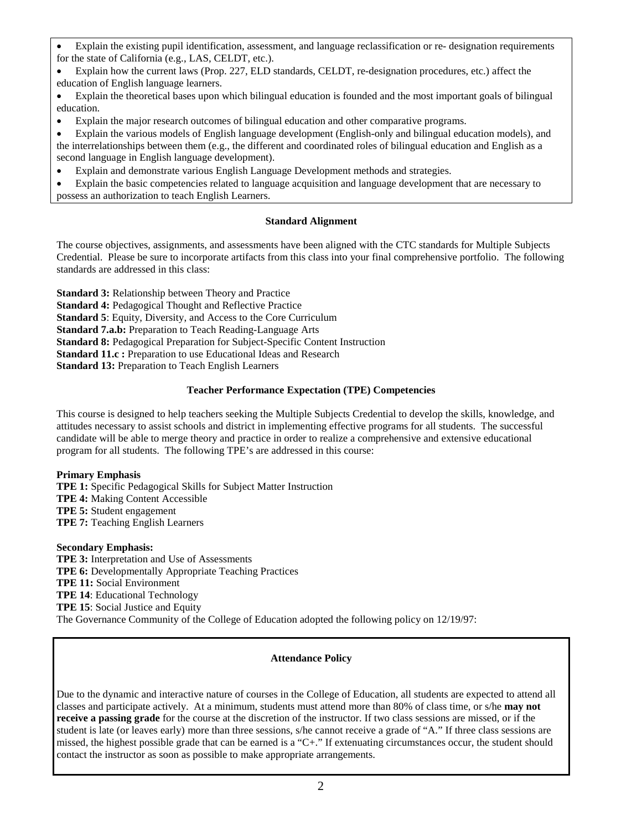- Explain the existing pupil identification, assessment, and language reclassification or re- designation requirements for the state of California (e.g., LAS, CELDT, etc.).
- Explain how the current laws (Prop. 227, ELD standards, CELDT, re-designation procedures, etc.) affect the education of English language learners.
- Explain the theoretical bases upon which bilingual education is founded and the most important goals of bilingual education.
- Explain the major research outcomes of bilingual education and other comparative programs.
- Explain the various models of English language development (English-only and bilingual education models), and the interrelationships between them (e.g., the different and coordinated roles of bilingual education and English as a second language in English language development).
- Explain and demonstrate various English Language Development methods and strategies.

• Explain the basic competencies related to language acquisition and language development that are necessary to possess an authorization to teach English Learners.

#### **Standard Alignment**

The course objectives, assignments, and assessments have been aligned with the CTC standards for Multiple Subjects Credential. Please be sure to incorporate artifacts from this class into your final comprehensive portfolio. The following standards are addressed in this class:

**Standard 3:** Relationship between Theory and Practice

**Standard 4:** Pedagogical Thought and Reflective Practice

**Standard 5**: Equity, Diversity, and Access to the Core Curriculum

**Standard 7.a.b:** Preparation to Teach Reading-Language Arts

**Standard 8:** Pedagogical Preparation for Subject-Specific Content Instruction

**Standard 11.c :** Preparation to use Educational Ideas and Research

**Standard 13:** Preparation to Teach English Learners

### **Teacher Performance Expectation (TPE) Competencies**

This course is designed to help teachers seeking the Multiple Subjects Credential to develop the skills, knowledge, and attitudes necessary to assist schools and district in implementing effective programs for all students. The successful candidate will be able to merge theory and practice in order to realize a comprehensive and extensive educational program for all students. The following TPE's are addressed in this course:

#### **Primary Emphasis**

**TPE 1:** Specific Pedagogical Skills for Subject Matter Instruction **TPE 4:** Making Content Accessible **TPE 5:** Student engagement **TPE 7:** Teaching English Learners

#### **Secondary Emphasis:**

**TPE 3:** Interpretation and Use of Assessments **TPE 6:** Developmentally Appropriate Teaching Practices **TPE 11:** Social Environment **TPE 14**: Educational Technology **TPE 15**: Social Justice and Equity The Governance Community of the College of Education adopted the following policy on 12/19/97:

### **Attendance Policy**

Due to the dynamic and interactive nature of courses in the College of Education, all students are expected to attend all classes and participate actively. At a minimum, students must attend more than 80% of class time, or s/he **may not receive a passing grade** for the course at the discretion of the instructor. If two class sessions are missed, or if the student is late (or leaves early) more than three sessions, s/he cannot receive a grade of "A." If three class sessions are missed, the highest possible grade that can be earned is a "C+." If extenuating circumstances occur, the student should contact the instructor as soon as possible to make appropriate arrangements.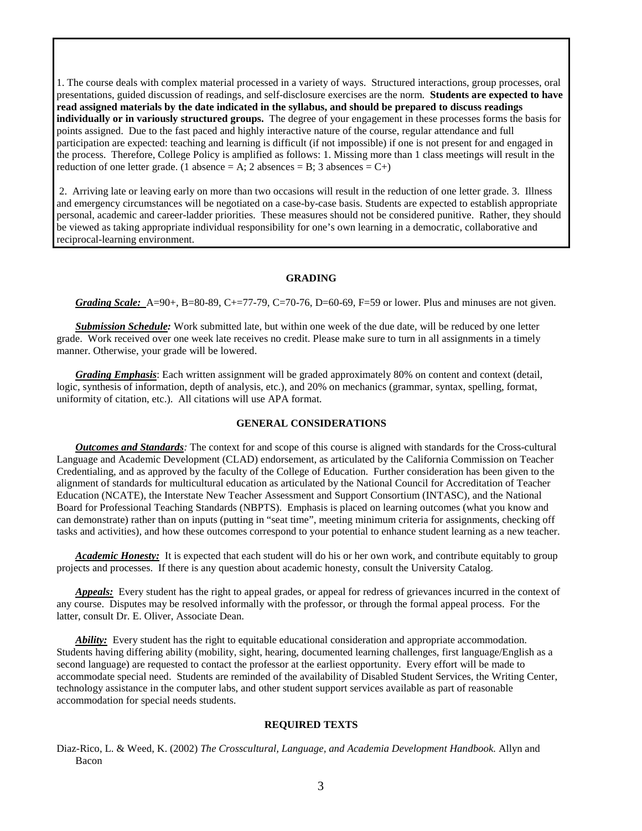1. The course deals with complex material processed in a variety of ways. Structured interactions, group processes, oral presentations, guided discussion of readings, and self-disclosure exercises are the norm. **Students are expected to have read assigned materials by the date indicated in the syllabus, and should be prepared to discuss readings individually or in variously structured groups.** The degree of your engagement in these processes forms the basis for points assigned. Due to the fast paced and highly interactive nature of the course, regular attendance and full participation are expected: teaching and learning is difficult (if not impossible) if one is not present for and engaged in the process. Therefore, College Policy is amplified as follows: 1. Missing more than 1 class meetings will result in the reduction of one letter grade. (1 absence = A; 2 absences = B; 3 absences = C+)

2. Arriving late or leaving early on more than two occasions will result in the reduction of one letter grade. 3. Illness and emergency circumstances will be negotiated on a case-by-case basis. Students are expected to establish appropriate personal, academic and career-ladder priorities. These measures should not be considered punitive. Rather, they should be viewed as taking appropriate individual responsibility for one's own learning in a democratic, collaborative and reciprocal-learning environment.

#### **GRADING**

*Grading Scale:* A=90+, B=80-89, C+=77-79, C=70-76, D=60-69, F=59 or lower. Plus and minuses are not given.

*Submission Schedule:* Work submitted late, but within one week of the due date, will be reduced by one letter grade. Work received over one week late receives no credit. Please make sure to turn in all assignments in a timely manner. Otherwise, your grade will be lowered.

*Grading Emphasis*: Each written assignment will be graded approximately 80% on content and context (detail, logic, synthesis of information, depth of analysis, etc.), and 20% on mechanics (grammar, syntax, spelling, format, uniformity of citation, etc.). All citations will use APA format.

#### **GENERAL CONSIDERATIONS**

*Outcomes and Standards:* The context for and scope of this course is aligned with standards for the Cross-cultural Language and Academic Development (CLAD) endorsement, as articulated by the California Commission on Teacher Credentialing, and as approved by the faculty of the College of Education. Further consideration has been given to the alignment of standards for multicultural education as articulated by the National Council for Accreditation of Teacher Education (NCATE), the Interstate New Teacher Assessment and Support Consortium (INTASC), and the National Board for Professional Teaching Standards (NBPTS). Emphasis is placed on learning outcomes (what you know and can demonstrate) rather than on inputs (putting in "seat time", meeting minimum criteria for assignments, checking off tasks and activities), and how these outcomes correspond to your potential to enhance student learning as a new teacher.

*Academic Honesty:* It is expected that each student will do his or her own work, and contribute equitably to group projects and processes. If there is any question about academic honesty, consult the University Catalog.

*Appeals:* Every student has the right to appeal grades, or appeal for redress of grievances incurred in the context of any course. Disputes may be resolved informally with the professor, or through the formal appeal process. For the latter, consult Dr. E. Oliver, Associate Dean.

*Ability:* Every student has the right to equitable educational consideration and appropriate accommodation. Students having differing ability (mobility, sight, hearing, documented learning challenges, first language/English as a second language) are requested to contact the professor at the earliest opportunity. Every effort will be made to accommodate special need. Students are reminded of the availability of Disabled Student Services, the Writing Center, technology assistance in the computer labs, and other student support services available as part of reasonable accommodation for special needs students.

#### **REQUIRED TEXTS**

Diaz-Rico, L. & Weed, K. (2002) *The Crosscultural, Language, and Academia Development Handbook.* Allyn and Bacon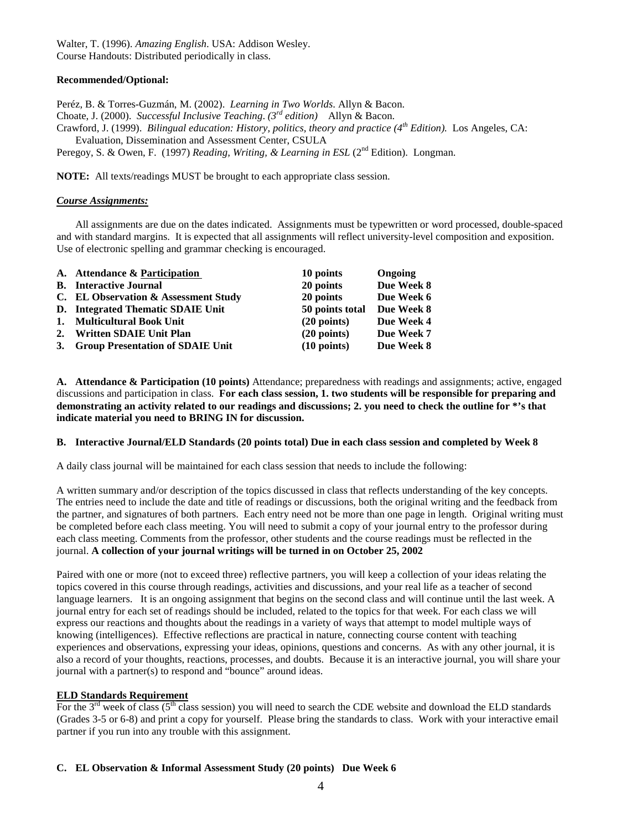Walter, T. (1996). *Amazing English*. USA: Addison Wesley. Course Handouts: Distributed periodically in class.

#### **Recommended/Optional:**

Peréz, B. & Torres-Guzmán, M. (2002). *Learning in Two Worlds*. Allyn & Bacon. Choate, J. (2000). *Successful Inclusive Teaching*. *(3rd edition)* Allyn & Bacon. Crawford, J. (1999). *Bilingual education: History, politics, theory and practice (4th Edition).* Los Angeles, CA: Evaluation, Dissemination and Assessment Center, CSULA Peregoy, S. & Owen, F. (1997) *Reading, Writing, & Learning in ESL* (2<sup>nd</sup> Edition). Longman.

**NOTE:** All texts/readings MUST be brought to each appropriate class session.

#### *Course Assignments:*

All assignments are due on the dates indicated. Assignments must be typewritten or word processed, double-spaced and with standard margins. It is expected that all assignments will reflect university-level composition and exposition. Use of electronic spelling and grammar checking is encouraged.

| A. Attendance & Participation        | 10 points             | Ongoing    |
|--------------------------------------|-----------------------|------------|
| <b>B.</b> Interactive Journal        | 20 points             | Due Week 8 |
| C. EL Observation & Assessment Study | 20 points             | Due Week 6 |
| D. Integrated Thematic SDAIE Unit    | 50 points total       | Due Week 8 |
| 1. Multicultural Book Unit           | $(20 \text{ points})$ | Due Week 4 |
| 2. Written SDAIE Unit Plan           | $(20 \text{ points})$ | Due Week 7 |
| 3. Group Presentation of SDAIE Unit  | $(10 \text{ points})$ | Due Week 8 |

**A. Attendance & Participation (10 points)** Attendance; preparedness with readings and assignments; active, engaged discussions and participation in class. **For each class session, 1. two students will be responsible for preparing and demonstrating an activity related to our readings and discussions; 2. you need to check the outline for \*'s that indicate material you need to BRING IN for discussion.**

#### **B. Interactive Journal/ELD Standards (20 points total) Due in each class session and completed by Week 8**

A daily class journal will be maintained for each class session that needs to include the following:

A written summary and/or description of the topics discussed in class that reflects understanding of the key concepts. The entries need to include the date and title of readings or discussions, both the original writing and the feedback from the partner, and signatures of both partners. Each entry need not be more than one page in length. Original writing must be completed before each class meeting. You will need to submit a copy of your journal entry to the professor during each class meeting. Comments from the professor, other students and the course readings must be reflected in the journal. **A collection of your journal writings will be turned in on October 25, 2002**

Paired with one or more (not to exceed three) reflective partners, you will keep a collection of your ideas relating the topics covered in this course through readings, activities and discussions, and your real life as a teacher of second language learners. It is an ongoing assignment that begins on the second class and will continue until the last week. A journal entry for each set of readings should be included, related to the topics for that week. For each class we will express our reactions and thoughts about the readings in a variety of ways that attempt to model multiple ways of knowing (intelligences). Effective reflections are practical in nature, connecting course content with teaching experiences and observations, expressing your ideas, opinions, questions and concerns. As with any other journal, it is also a record of your thoughts, reactions, processes, and doubts. Because it is an interactive journal, you will share your journal with a partner(s) to respond and "bounce" around ideas.

#### **ELD Standards Requirement**

For the  $3<sup>rd</sup>$  week of class ( $5<sup>th</sup>$  class session) you will need to search the CDE website and download the ELD standards (Grades 3-5 or 6-8) and print a copy for yourself. Please bring the standards to class. Work with your interactive email partner if you run into any trouble with this assignment.

#### **C. EL Observation & Informal Assessment Study (20 points) Due Week 6**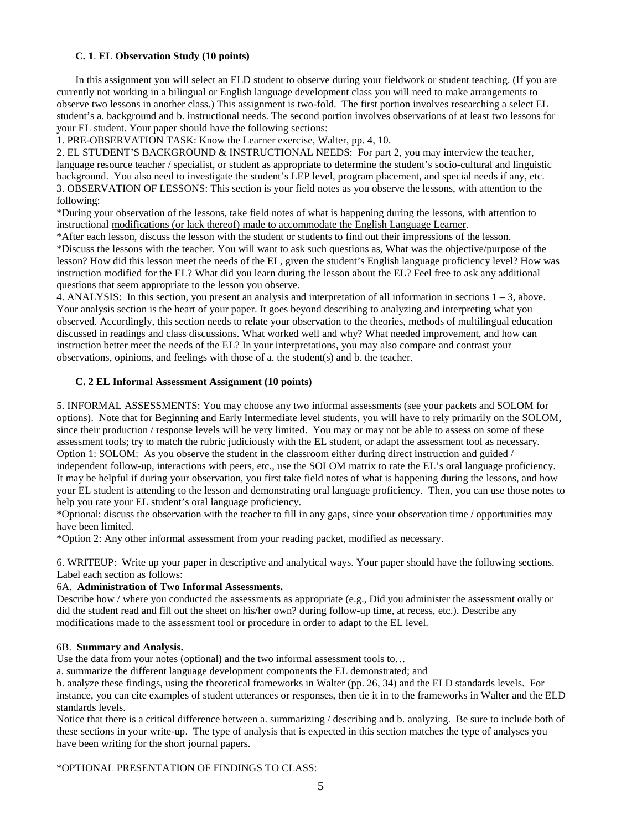#### **C. 1**. **EL Observation Study (10 points)**

In this assignment you will select an ELD student to observe during your fieldwork or student teaching. (If you are currently not working in a bilingual or English language development class you will need to make arrangements to observe two lessons in another class.) This assignment is two-fold. The first portion involves researching a select EL student's a. background and b. instructional needs. The second portion involves observations of at least two lessons for your EL student. Your paper should have the following sections:

1. PRE-OBSERVATION TASK: Know the Learner exercise, Walter, pp. 4, 10.

2. EL STUDENT'S BACKGROUND & INSTRUCTIONAL NEEDS: For part 2, you may interview the teacher, language resource teacher / specialist, or student as appropriate to determine the student's socio-cultural and linguistic background. You also need to investigate the student's LEP level, program placement, and special needs if any, etc. 3. OBSERVATION OF LESSONS: This section is your field notes as you observe the lessons, with attention to the following:

\*During your observation of the lessons, take field notes of what is happening during the lessons, with attention to instructional modifications (or lack thereof) made to accommodate the English Language Learner.

\*After each lesson, discuss the lesson with the student or students to find out their impressions of the lesson. \*Discuss the lessons with the teacher. You will want to ask such questions as, What was the objective/purpose of the lesson? How did this lesson meet the needs of the EL, given the student's English language proficiency level? How was instruction modified for the EL? What did you learn during the lesson about the EL? Feel free to ask any additional questions that seem appropriate to the lesson you observe.

4. ANALYSIS: In this section, you present an analysis and interpretation of all information in sections 1 – 3, above. Your analysis section is the heart of your paper. It goes beyond describing to analyzing and interpreting what you observed. Accordingly, this section needs to relate your observation to the theories, methods of multilingual education discussed in readings and class discussions. What worked well and why? What needed improvement, and how can instruction better meet the needs of the EL? In your interpretations, you may also compare and contrast your observations, opinions, and feelings with those of a. the student(s) and b. the teacher.

#### **C. 2 EL Informal Assessment Assignment (10 points)**

5. INFORMAL ASSESSMENTS: You may choose any two informal assessments (see your packets and SOLOM for options). Note that for Beginning and Early Intermediate level students, you will have to rely primarily on the SOLOM, since their production / response levels will be very limited. You may or may not be able to assess on some of these assessment tools; try to match the rubric judiciously with the EL student, or adapt the assessment tool as necessary. Option 1: SOLOM: As you observe the student in the classroom either during direct instruction and guided / independent follow-up, interactions with peers, etc., use the SOLOM matrix to rate the EL's oral language proficiency. It may be helpful if during your observation, you first take field notes of what is happening during the lessons, and how your EL student is attending to the lesson and demonstrating oral language proficiency. Then, you can use those notes to help you rate your EL student's oral language proficiency.

\*Optional: discuss the observation with the teacher to fill in any gaps, since your observation time / opportunities may have been limited.

\*Option 2: Any other informal assessment from your reading packet, modified as necessary.

6. WRITEUP: Write up your paper in descriptive and analytical ways. Your paper should have the following sections. Label each section as follows:

#### 6A. **Administration of Two Informal Assessments.**

Describe how / where you conducted the assessments as appropriate (e.g., Did you administer the assessment orally or did the student read and fill out the sheet on his/her own? during follow-up time, at recess, etc.). Describe any modifications made to the assessment tool or procedure in order to adapt to the EL level.

#### 6B. **Summary and Analysis.**

Use the data from your notes (optional) and the two informal assessment tools to...

a. summarize the different language development components the EL demonstrated; and

b. analyze these findings, using the theoretical frameworks in Walter (pp. 26, 34) and the ELD standards levels. For instance, you can cite examples of student utterances or responses, then tie it in to the frameworks in Walter and the ELD standards levels.

Notice that there is a critical difference between a. summarizing / describing and b. analyzing. Be sure to include both of these sections in your write-up. The type of analysis that is expected in this section matches the type of analyses you have been writing for the short journal papers.

\*OPTIONAL PRESENTATION OF FINDINGS TO CLASS: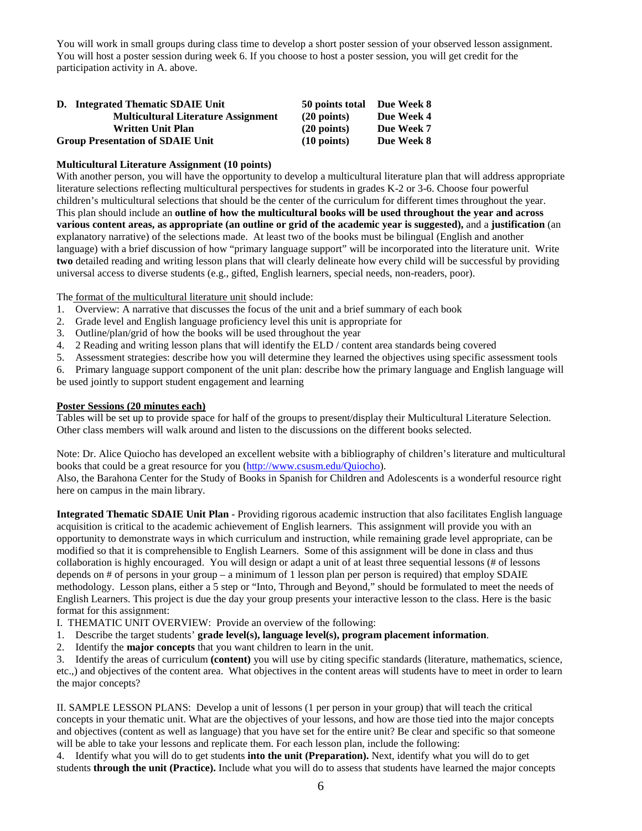You will work in small groups during class time to develop a short poster session of your observed lesson assignment. You will host a poster session during week 6. If you choose to host a poster session, you will get credit for the participation activity in A. above.

| D. Integrated Thematic SDAIE Unit          | 50 points total       | Due Week 8 |
|--------------------------------------------|-----------------------|------------|
| <b>Multicultural Literature Assignment</b> | $(20$ points)         | Due Week 4 |
| <b>Written Unit Plan</b>                   | $(20$ points)         | Due Week 7 |
| <b>Group Presentation of SDAIE Unit</b>    | $(10 \text{ points})$ | Due Week 8 |

#### **Multicultural Literature Assignment (10 points)**

With another person, you will have the opportunity to develop a multicultural literature plan that will address appropriate literature selections reflecting multicultural perspectives for students in grades K-2 or 3-6. Choose four powerful children's multicultural selections that should be the center of the curriculum for different times throughout the year. This plan should include an **outline of how the multicultural books will be used throughout the year and across various content areas, as appropriate (an outline or grid of the academic year is suggested),** and a **justification** (an explanatory narrative) of the selections made. At least two of the books must be bilingual (English and another language) with a brief discussion of how "primary language support" will be incorporated into the literature unit. Write **two** detailed reading and writing lesson plans that will clearly delineate how every child will be successful by providing universal access to diverse students (e.g., gifted, English learners, special needs, non-readers, poor).

The format of the multicultural literature unit should include:

- 1. Overview: A narrative that discusses the focus of the unit and a brief summary of each book
- 2. Grade level and English language proficiency level this unit is appropriate for
- 3. Outline/plan/grid of how the books will be used throughout the year
- 4. 2 Reading and writing lesson plans that will identify the ELD / content area standards being covered
- 5. Assessment strategies: describe how you will determine they learned the objectives using specific assessment tools

6. Primary language support component of the unit plan: describe how the primary language and English language will be used jointly to support student engagement and learning

#### **Poster Sessions (20 minutes each)**

Tables will be set up to provide space for half of the groups to present/display their Multicultural Literature Selection. Other class members will walk around and listen to the discussions on the different books selected.

Note: Dr. Alice Quiocho has developed an excellent website with a bibliography of children's literature and multicultural books that could be a great resource for you [\(http://www.csusm.edu/Quiocho\)](http://www.csusm.edu/Quiocho).

Also, the Barahona Center for the Study of Books in Spanish for Children and Adolescents is a wonderful resource right here on campus in the main library.

**Integrated Thematic SDAIE Unit Plan** - Providing rigorous academic instruction that also facilitates English language acquisition is critical to the academic achievement of English learners. This assignment will provide you with an opportunity to demonstrate ways in which curriculum and instruction, while remaining grade level appropriate, can be modified so that it is comprehensible to English Learners. Some of this assignment will be done in class and thus collaboration is highly encouraged. You will design or adapt a unit of at least three sequential lessons (# of lessons depends on # of persons in your group – a minimum of 1 lesson plan per person is required) that employ SDAIE methodology. Lesson plans, either a 5 step or "Into, Through and Beyond," should be formulated to meet the needs of English Learners. This project is due the day your group presents your interactive lesson to the class. Here is the basic format for this assignment:

I. THEMATIC UNIT OVERVIEW: Provide an overview of the following:

- 1. Describe the target students' **grade level(s), language level(s), program placement information**.
- 2. Identify the **major concepts** that you want children to learn in the unit.

3. Identify the areas of curriculum **(content)** you will use by citing specific standards (literature, mathematics, science, etc.,) and objectives of the content area. What objectives in the content areas will students have to meet in order to learn the major concepts?

II. SAMPLE LESSON PLANS: Develop a unit of lessons (1 per person in your group) that will teach the critical concepts in your thematic unit. What are the objectives of your lessons, and how are those tied into the major concepts and objectives (content as well as language) that you have set for the entire unit? Be clear and specific so that someone will be able to take your lessons and replicate them. For each lesson plan, include the following:

4. Identify what you will do to get students **into the unit (Preparation).** Next, identify what you will do to get students **through the unit (Practice).** Include what you will do to assess that students have learned the major concepts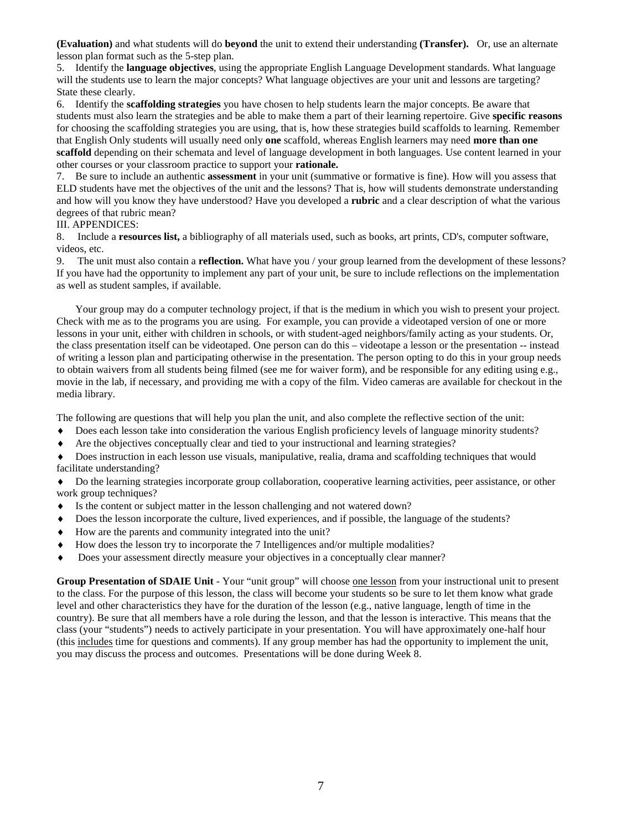**(Evaluation)** and what students will do **beyond** the unit to extend their understanding **(Transfer).** Or, use an alternate lesson plan format such as the 5-step plan.

5. Identify the **language objectives**, using the appropriate English Language Development standards. What language will the students use to learn the major concepts? What language objectives are your unit and lessons are targeting? State these clearly.

6. Identify the **scaffolding strategies** you have chosen to help students learn the major concepts. Be aware that students must also learn the strategies and be able to make them a part of their learning repertoire. Give **specific reasons**  for choosing the scaffolding strategies you are using, that is, how these strategies build scaffolds to learning. Remember that English Only students will usually need only **one** scaffold, whereas English learners may need **more than one scaffold** depending on their schemata and level of language development in both languages. Use content learned in your other courses or your classroom practice to support your **rationale.** 

7. Be sure to include an authentic **assessment** in your unit (summative or formative is fine). How will you assess that ELD students have met the objectives of the unit and the lessons? That is, how will students demonstrate understanding and how will you know they have understood? Have you developed a **rubric** and a clear description of what the various degrees of that rubric mean?

#### III. APPENDICES:

8. Include a **resources list,** a bibliography of all materials used, such as books, art prints, CD's, computer software, videos, etc.

9. The unit must also contain a **reflection.** What have you / your group learned from the development of these lessons? If you have had the opportunity to implement any part of your unit, be sure to include reflections on the implementation as well as student samples, if available.

Your group may do a computer technology project, if that is the medium in which you wish to present your project. Check with me as to the programs you are using. For example, you can provide a videotaped version of one or more lessons in your unit, either with children in schools, or with student-aged neighbors/family acting as your students. Or, the class presentation itself can be videotaped. One person can do this – videotape a lesson or the presentation -- instead of writing a lesson plan and participating otherwise in the presentation. The person opting to do this in your group needs to obtain waivers from all students being filmed (see me for waiver form), and be responsible for any editing using e.g., movie in the lab, if necessary, and providing me with a copy of the film. Video cameras are available for checkout in the media library.

The following are questions that will help you plan the unit, and also complete the reflective section of the unit:

- ♦ Does each lesson take into consideration the various English proficiency levels of language minority students?
- ♦ Are the objectives conceptually clear and tied to your instructional and learning strategies?

♦ Does instruction in each lesson use visuals, manipulative, realia, drama and scaffolding techniques that would facilitate understanding?

♦ Do the learning strategies incorporate group collaboration, cooperative learning activities, peer assistance, or other work group techniques?

- ♦ Is the content or subject matter in the lesson challenging and not watered down?
- ♦ Does the lesson incorporate the culture, lived experiences, and if possible, the language of the students?
- ♦ How are the parents and community integrated into the unit?
- ♦ How does the lesson try to incorporate the 7 Intelligences and/or multiple modalities?
- ♦ Does your assessment directly measure your objectives in a conceptually clear manner?

**Group Presentation of SDAIE Unit** - Your "unit group" will choose one lesson from your instructional unit to present to the class. For the purpose of this lesson, the class will become your students so be sure to let them know what grade level and other characteristics they have for the duration of the lesson (e.g., native language, length of time in the country). Be sure that all members have a role during the lesson, and that the lesson is interactive. This means that the class (your "students") needs to actively participate in your presentation. You will have approximately one-half hour (this includes time for questions and comments). If any group member has had the opportunity to implement the unit, you may discuss the process and outcomes. Presentations will be done during Week 8.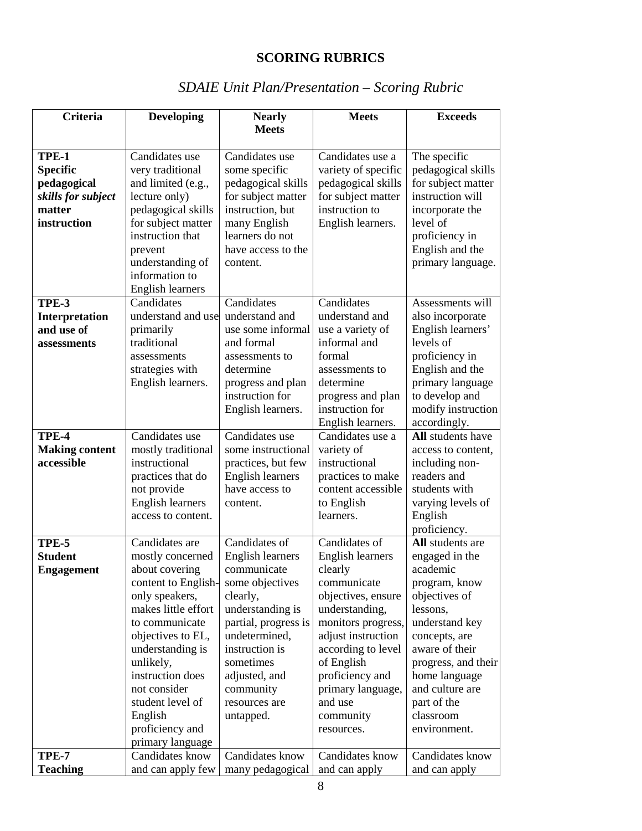## **SCORING RUBRICS**

| <b>Criteria</b>       | <b>Developing</b>                    | <b>Nearly</b>                   | <b>Meets</b>                         | <b>Exceeds</b>                      |
|-----------------------|--------------------------------------|---------------------------------|--------------------------------------|-------------------------------------|
|                       |                                      | <b>Meets</b>                    |                                      |                                     |
|                       |                                      |                                 |                                      |                                     |
| TPE-1                 | Candidates use                       | Candidates use                  | Candidates use a                     | The specific                        |
| <b>Specific</b>       | very traditional                     | some specific                   | variety of specific                  | pedagogical skills                  |
| pedagogical           | and limited (e.g.,                   | pedagogical skills              | pedagogical skills                   | for subject matter                  |
| skills for subject    | lecture only)                        | for subject matter              | for subject matter                   | instruction will                    |
| matter                | pedagogical skills                   | instruction, but                | instruction to                       | incorporate the                     |
| instruction           | for subject matter                   | many English                    | English learners.                    | level of                            |
|                       | instruction that                     | learners do not                 |                                      | proficiency in                      |
|                       | prevent                              | have access to the              |                                      | English and the                     |
|                       | understanding of                     | content.                        |                                      | primary language.                   |
|                       | information to                       |                                 |                                      |                                     |
|                       | English learners                     |                                 |                                      |                                     |
| TPE-3                 | Candidates                           | Candidates                      | Candidates                           | Assessments will                    |
| Interpretation        | understand and use                   | understand and                  | understand and                       | also incorporate                    |
| and use of            | primarily<br>traditional             | use some informal<br>and formal | use a variety of                     | English learners'<br>levels of      |
| assessments           |                                      |                                 | informal and<br>formal               |                                     |
|                       | assessments                          | assessments to<br>determine     | assessments to                       | proficiency in                      |
|                       | strategies with<br>English learners. | progress and plan               | determine                            | English and the<br>primary language |
|                       |                                      | instruction for                 |                                      | to develop and                      |
|                       |                                      | English learners.               | progress and plan<br>instruction for | modify instruction                  |
|                       |                                      |                                 | English learners.                    | accordingly.                        |
| TPE-4                 | Candidates use                       | Candidates use                  | Candidates use a                     | All students have                   |
| <b>Making content</b> | mostly traditional                   | some instructional              | variety of                           | access to content,                  |
| accessible            | instructional                        | practices, but few              | instructional                        | including non-                      |
|                       | practices that do                    | <b>English learners</b>         | practices to make                    | readers and                         |
|                       | not provide                          | have access to                  | content accessible                   | students with                       |
|                       | <b>English learners</b>              | content.                        | to English                           | varying levels of                   |
|                       | access to content.                   |                                 | learners.                            | English                             |
|                       |                                      |                                 |                                      | proficiency.                        |
| TPE-5                 | Candidates are                       | Candidates $of$                 | Candidates of                        | All students are                    |
| <b>Student</b>        | mostly concerned                     | <b>English learners</b>         | <b>English learners</b>              | engaged in the                      |
| <b>Engagement</b>     | about covering                       | communicate                     | clearly                              | academic                            |
|                       | content to English-                  | some objectives                 | communicate                          | program, know                       |
|                       | only speakers,                       | clearly,                        | objectives, ensure                   | objectives of                       |
|                       | makes little effort                  | understanding is                | understanding,                       | lessons,                            |
|                       | to communicate                       | partial, progress is            | monitors progress,                   | understand key                      |
|                       | objectives to EL,                    | undetermined,                   | adjust instruction                   | concepts, are                       |
|                       | understanding is                     | instruction is                  | according to level                   | aware of their                      |
|                       | unlikely,                            | sometimes                       | of English                           | progress, and their                 |
|                       | instruction does                     | adjusted, and                   | proficiency and                      | home language                       |
|                       | not consider                         | community                       | primary language,                    | and culture are                     |
|                       | student level of                     | resources are                   | and use                              | part of the                         |
|                       | English                              | untapped.                       | community                            | classroom                           |
|                       | proficiency and                      |                                 | resources.                           | environment.                        |
|                       | primary language                     |                                 |                                      |                                     |
| <b>TPE-7</b>          | Candidates know                      | Candidates know                 | Candidates know                      | Candidates know                     |
| <b>Teaching</b>       | and can apply few                    | many pedagogical                | and can apply                        | and can apply                       |

# *SDAIE Unit Plan/Presentation – Scoring Rubric*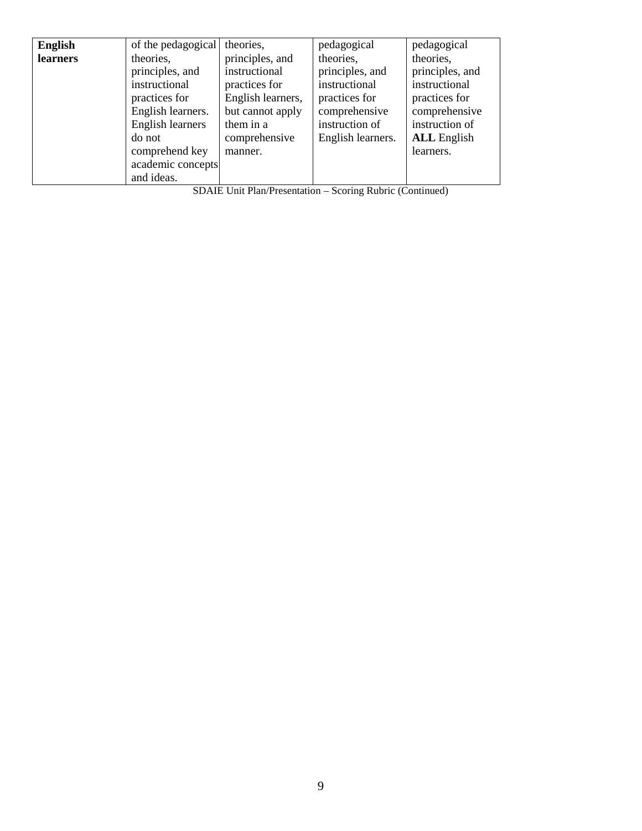| English  | of the pedagogical                                                                                   | theories,                                                              | pedagogical                                                    | pedagogical                                                        |
|----------|------------------------------------------------------------------------------------------------------|------------------------------------------------------------------------|----------------------------------------------------------------|--------------------------------------------------------------------|
| learners | theories,<br>principles, and<br>instructional<br>practices for                                       | principles, and<br>instructional<br>practices for<br>English learners, | theories,<br>principles, and<br>instructional<br>practices for | theories,<br>principles, and<br>instructional<br>practices for     |
|          | English learners.<br>English learners<br>do not<br>comprehend key<br>academic concepts<br>and ideas. | but cannot apply<br>them in a<br>comprehensive<br>manner.              | comprehensive<br>instruction of<br>English learners.           | comprehensive<br>instruction of<br><b>ALL</b> English<br>learners. |

SDAIE Unit Plan/Presentation – Scoring Rubric (Continued)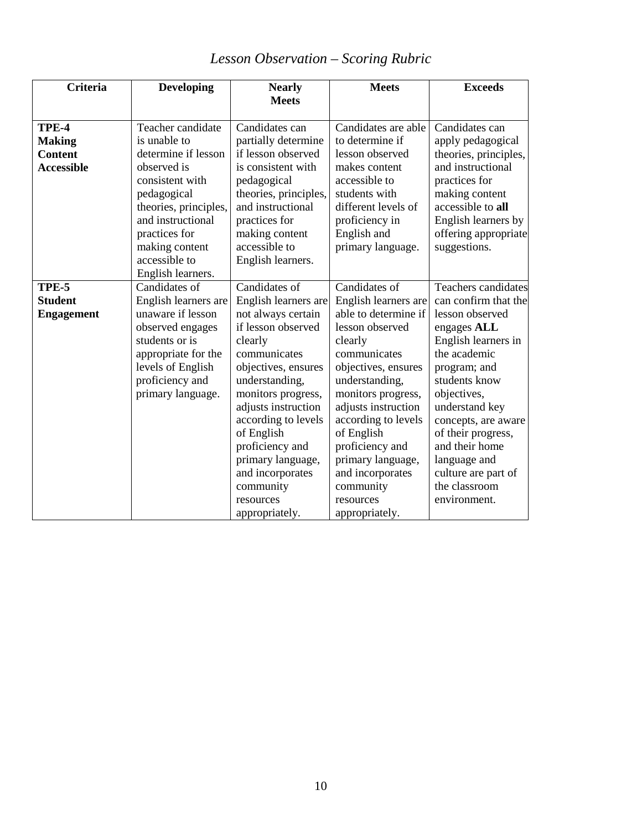| <b>Criteria</b>   | <b>Developing</b>     | <b>Nearly</b>         | <b>Meets</b>         | <b>Exceeds</b>        |
|-------------------|-----------------------|-----------------------|----------------------|-----------------------|
|                   |                       | <b>Meets</b>          |                      |                       |
| TPE-4             | Teacher candidate     | Candidates can        | Candidates are able  | Candidates can        |
| <b>Making</b>     | is unable to          | partially determine   | to determine if      | apply pedagogical     |
| <b>Content</b>    | determine if lesson   | if lesson observed    | lesson observed      | theories, principles, |
| <b>Accessible</b> | observed is           | is consistent with    | makes content        | and instructional     |
|                   | consistent with       | pedagogical           | accessible to        | practices for         |
|                   | pedagogical           | theories, principles, | students with        | making content        |
|                   | theories, principles, | and instructional     | different levels of  | accessible to all     |
|                   | and instructional     | practices for         | proficiency in       | English learners by   |
|                   | practices for         | making content        | English and          | offering appropriate  |
|                   | making content        | accessible to         | primary language.    | suggestions.          |
|                   | accessible to         | English learners.     |                      |                       |
|                   | English learners.     |                       |                      |                       |
| TPE-5             | Candidates of         | Candidates of         | Candidates of        | Teachers candidates   |
| <b>Student</b>    | English learners are  | English learners are  | English learners are | can confirm that the  |
| <b>Engagement</b> | unaware if lesson     | not always certain    | able to determine if | lesson observed       |
|                   | observed engages      | if lesson observed    | lesson observed      | engages ALL           |
|                   | students or is        | clearly               | clearly              | English learners in   |
|                   | appropriate for the   | communicates          | communicates         | the academic          |
|                   | levels of English     | objectives, ensures   | objectives, ensures  | program; and          |
|                   | proficiency and       | understanding,        | understanding,       | students know         |
|                   | primary language.     | monitors progress,    | monitors progress,   | objectives,           |
|                   |                       | adjusts instruction   | adjusts instruction  | understand key        |
|                   |                       | according to levels   | according to levels  | concepts, are aware   |
|                   |                       | of English            | of English           | of their progress,    |
|                   |                       | proficiency and       | proficiency and      | and their home        |
|                   |                       | primary language,     | primary language,    | language and          |
|                   |                       | and incorporates      | and incorporates     | culture are part of   |
|                   |                       | community             | community            | the classroom         |
|                   |                       | resources             | resources            | environment.          |
|                   |                       | appropriately.        | appropriately.       |                       |

# *Lesson Observation – Scoring Rubric*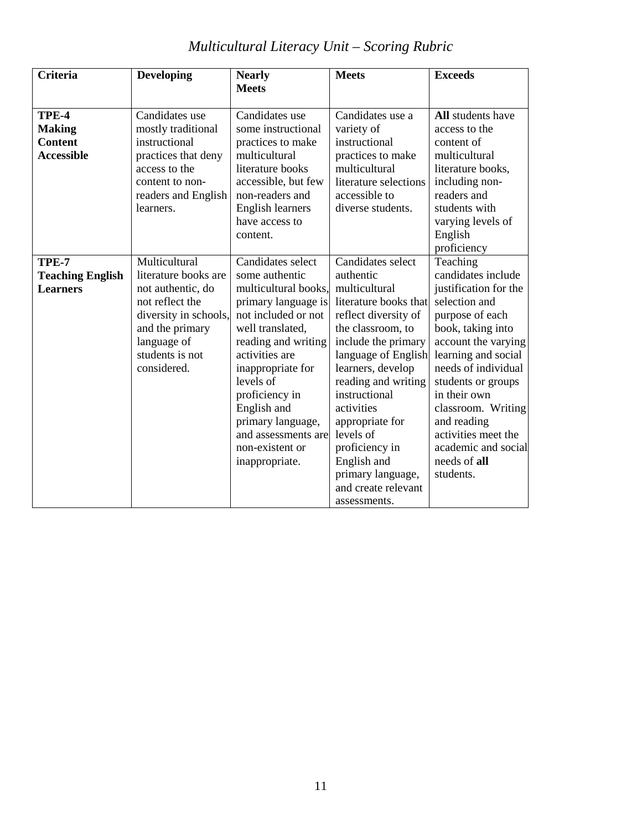#### **Criteria Developing Nearly Meets Meets Exceeds TPE-4 Making Content Accessible** Candidates use mostly traditional instructional practices that deny access to the content to nonreaders and English learners. Candidates use some instructional practices to make multicultural literature books accessible, but few non-readers and English learners have access to content. Candidates use a variety of instructional practices to make multicultural literature selections accessible to diverse students. **All** students have access to the content of multicultural literature books, including nonreaders and students with varying levels of English proficiency **TPE-7 Teaching English Learners Multicultural** literature books are not authentic, do not reflect the diversity in schools, and the primary language of students is not considered. Candidates select some authentic multicultural books, primary language is not included or not well translated, reading and writing activities are inappropriate for levels of proficiency in English and primary language, and assessments are non-existent or inappropriate. Candidates select authentic multicultural literature books that reflect diversity of the classroom, to include the primary language of English learners, develop reading and writing instructional activities appropriate for levels of proficiency in English and primary language, and create relevant assessments. Teaching candidates include justification for the selection and purpose of each book, taking into account the varying learning and social needs of individual students or groups in their own classroom. Writing and reading activities meet the academic and social needs of **all** students.

## *Multicultural Literacy Unit – Scoring Rubric*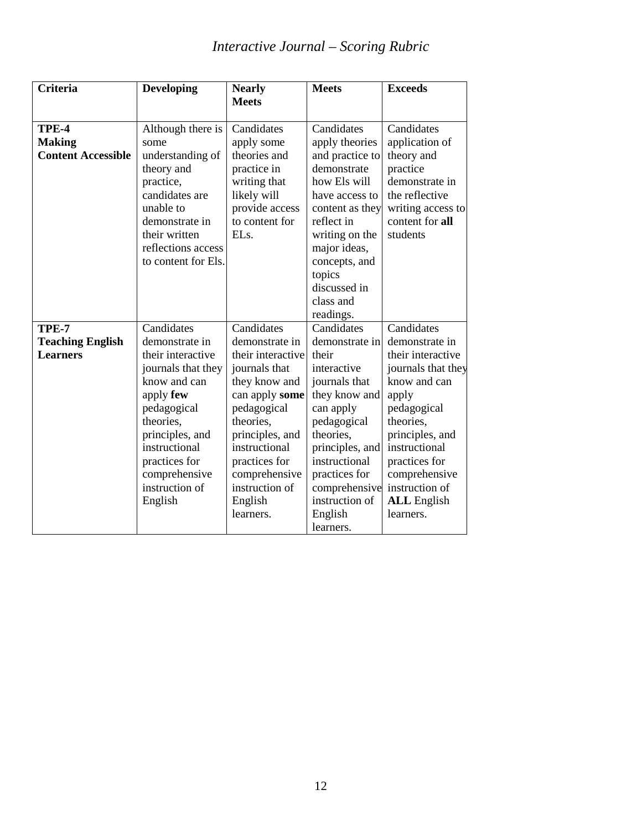# *Interactive Journal – Scoring Rubric*

| <b>Criteria</b>                                     | <b>Developing</b>                                                                                                                                                                       | <b>Nearly</b>                                                                                                                      | <b>Meets</b>                                                                                                                                                                                                                             | <b>Exceeds</b>                                                                                                                                 |
|-----------------------------------------------------|-----------------------------------------------------------------------------------------------------------------------------------------------------------------------------------------|------------------------------------------------------------------------------------------------------------------------------------|------------------------------------------------------------------------------------------------------------------------------------------------------------------------------------------------------------------------------------------|------------------------------------------------------------------------------------------------------------------------------------------------|
|                                                     |                                                                                                                                                                                         | <b>Meets</b>                                                                                                                       |                                                                                                                                                                                                                                          |                                                                                                                                                |
| TPE-4<br><b>Making</b><br><b>Content Accessible</b> | Although there is<br>some<br>understanding of<br>theory and<br>practice,<br>candidates are<br>unable to<br>demonstrate in<br>their written<br>reflections access<br>to content for Els. | Candidates<br>apply some<br>theories and<br>practice in<br>writing that<br>likely will<br>provide access<br>to content for<br>ELs. | Candidates<br>apply theories<br>and practice to<br>demonstrate<br>how Els will<br>have access to<br>content as they<br>reflect in<br>writing on the<br>major ideas,<br>concepts, and<br>topics<br>discussed in<br>class and<br>readings. | Candidates<br>application of<br>theory and<br>practice<br>demonstrate in<br>the reflective<br>writing access to<br>content for all<br>students |
| TPE-7                                               | Candidates                                                                                                                                                                              | Candidates                                                                                                                         | Candidates                                                                                                                                                                                                                               | Candidates                                                                                                                                     |
| <b>Teaching English</b>                             | demonstrate in                                                                                                                                                                          | demonstrate in                                                                                                                     | demonstrate in                                                                                                                                                                                                                           | demonstrate in                                                                                                                                 |
| <b>Learners</b>                                     | their interactive                                                                                                                                                                       | their interactive                                                                                                                  | their                                                                                                                                                                                                                                    | their interactive                                                                                                                              |
|                                                     | journals that they                                                                                                                                                                      | journals that                                                                                                                      | interactive                                                                                                                                                                                                                              | journals that they                                                                                                                             |
|                                                     | know and can                                                                                                                                                                            | they know and                                                                                                                      | journals that                                                                                                                                                                                                                            | know and can                                                                                                                                   |
|                                                     | apply few                                                                                                                                                                               | can apply some                                                                                                                     | they know and                                                                                                                                                                                                                            | apply                                                                                                                                          |
|                                                     | pedagogical                                                                                                                                                                             | pedagogical                                                                                                                        | can apply                                                                                                                                                                                                                                | pedagogical                                                                                                                                    |
|                                                     | theories,                                                                                                                                                                               | theories,                                                                                                                          | pedagogical<br>theories,                                                                                                                                                                                                                 | theories,                                                                                                                                      |
|                                                     | principles, and<br>instructional                                                                                                                                                        | principles, and<br>instructional                                                                                                   | principles, and                                                                                                                                                                                                                          | principles, and<br>instructional                                                                                                               |
|                                                     | practices for                                                                                                                                                                           | practices for                                                                                                                      | instructional                                                                                                                                                                                                                            | practices for                                                                                                                                  |
|                                                     | comprehensive                                                                                                                                                                           | comprehensive                                                                                                                      | practices for                                                                                                                                                                                                                            | comprehensive                                                                                                                                  |
|                                                     | instruction of                                                                                                                                                                          | instruction of                                                                                                                     | comprehensive                                                                                                                                                                                                                            | instruction of                                                                                                                                 |
|                                                     | English                                                                                                                                                                                 | English                                                                                                                            | instruction of                                                                                                                                                                                                                           | <b>ALL</b> English                                                                                                                             |
|                                                     |                                                                                                                                                                                         | learners.                                                                                                                          | English                                                                                                                                                                                                                                  | learners.                                                                                                                                      |
|                                                     |                                                                                                                                                                                         |                                                                                                                                    | learners.                                                                                                                                                                                                                                |                                                                                                                                                |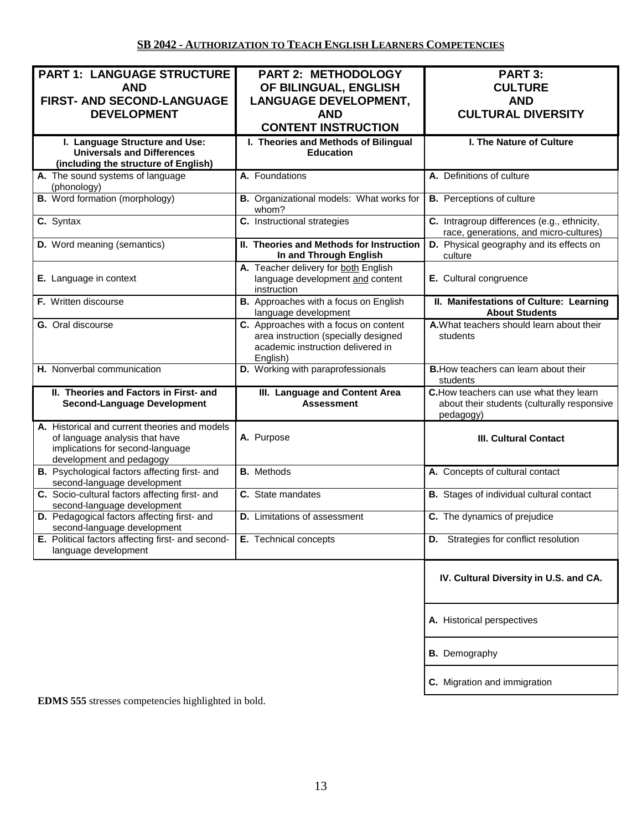| <b>PART 1: LANGUAGE STRUCTURE</b><br><b>AND</b><br><b>FIRST- AND SECOND-LANGUAGE</b><br><b>DEVELOPMENT</b>                                      | PART 2: METHODOLOGY<br>OF BILINGUAL, ENGLISH<br><b>LANGUAGE DEVELOPMENT,</b><br><b>AND</b><br><b>CONTENT INSTRUCTION</b>       | PART 3:<br><b>CULTURE</b><br><b>AND</b><br><b>CULTURAL DIVERSITY</b>                                |
|-------------------------------------------------------------------------------------------------------------------------------------------------|--------------------------------------------------------------------------------------------------------------------------------|-----------------------------------------------------------------------------------------------------|
| I. Language Structure and Use:<br><b>Universals and Differences</b><br>(including the structure of English)                                     | I. Theories and Methods of Bilingual<br><b>Education</b>                                                                       | I. The Nature of Culture                                                                            |
| A. The sound systems of language<br>(phonology)                                                                                                 | A. Foundations                                                                                                                 | A. Definitions of culture                                                                           |
| <b>B.</b> Word formation (morphology)                                                                                                           | B. Organizational models: What works for<br>whom?                                                                              | <b>B.</b> Perceptions of culture                                                                    |
| C. Syntax                                                                                                                                       | C. Instructional strategies                                                                                                    | C. Intragroup differences (e.g., ethnicity,<br>race, generations, and micro-cultures)               |
| D. Word meaning (semantics)                                                                                                                     | II. Theories and Methods for Instruction<br>In and Through English                                                             | D. Physical geography and its effects on<br>culture                                                 |
| <b>E.</b> Language in context                                                                                                                   | A. Teacher delivery for both English<br>language development and content<br>instruction                                        | E. Cultural congruence                                                                              |
| F. Written discourse                                                                                                                            | B. Approaches with a focus on English<br>language development                                                                  | II. Manifestations of Culture: Learning<br><b>About Students</b>                                    |
| G. Oral discourse                                                                                                                               | C. Approaches with a focus on content<br>area instruction (specially designed<br>academic instruction delivered in<br>English) | A. What teachers should learn about their<br>students                                               |
| H. Nonverbal communication                                                                                                                      | D. Working with paraprofessionals                                                                                              | <b>B.</b> How teachers can learn about their<br>students                                            |
| II. Theories and Factors in First- and<br><b>Second-Language Development</b>                                                                    | III. Language and Content Area<br><b>Assessment</b>                                                                            | C. How teachers can use what they learn<br>about their students (culturally responsive<br>pedagogy) |
| A. Historical and current theories and models<br>of language analysis that have<br>implications for second-language<br>development and pedagogy | A. Purpose                                                                                                                     | <b>III. Cultural Contact</b>                                                                        |
| B. Psychological factors affecting first- and<br>second-language development                                                                    | <b>B.</b> Methods                                                                                                              | A. Concepts of cultural contact                                                                     |
| C. Socio-cultural factors affecting first- and<br>second-language development                                                                   | C. State mandates                                                                                                              | <b>B.</b> Stages of individual cultural contact                                                     |
| D. Pedagogical factors affecting first- and<br>second-language development                                                                      | <b>D.</b> Limitations of assessment                                                                                            | C. The dynamics of prejudice                                                                        |
| E. Political factors affecting first- and second-<br>language development                                                                       | E. Technical concepts                                                                                                          | <b>D.</b> Strategies for conflict resolution                                                        |
|                                                                                                                                                 |                                                                                                                                | IV. Cultural Diversity in U.S. and CA.                                                              |
|                                                                                                                                                 |                                                                                                                                | A. Historical perspectives                                                                          |
|                                                                                                                                                 |                                                                                                                                | <b>B.</b> Demography                                                                                |
|                                                                                                                                                 |                                                                                                                                | C. Migration and immigration                                                                        |

**EDMS 555** stresses competencies highlighted in bold.